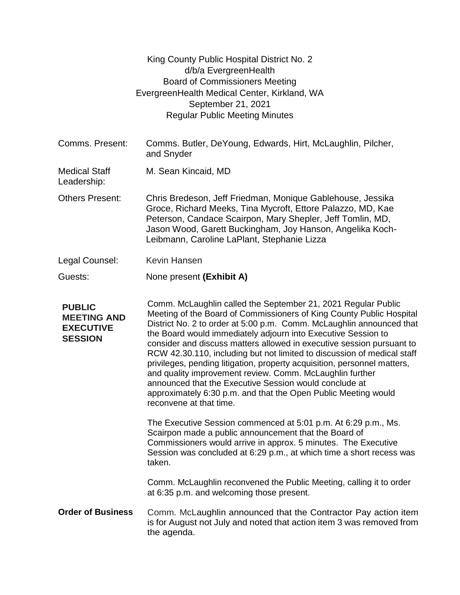|                                                                           | King County Public Hospital District No. 2<br>d/b/a EvergreenHealth<br><b>Board of Commissioners Meeting</b><br>EvergreenHealth Medical Center, Kirkland, WA<br>September 21, 2021<br><b>Regular Public Meeting Minutes</b>                                                                                                                                                                                                                                                                                                                                                                                                                                                                                                       |
|---------------------------------------------------------------------------|-----------------------------------------------------------------------------------------------------------------------------------------------------------------------------------------------------------------------------------------------------------------------------------------------------------------------------------------------------------------------------------------------------------------------------------------------------------------------------------------------------------------------------------------------------------------------------------------------------------------------------------------------------------------------------------------------------------------------------------|
| Comms. Present:                                                           | Comms. Butler, DeYoung, Edwards, Hirt, McLaughlin, Pilcher,<br>and Snyder                                                                                                                                                                                                                                                                                                                                                                                                                                                                                                                                                                                                                                                         |
| <b>Medical Staff</b><br>Leadership:                                       | M. Sean Kincaid, MD                                                                                                                                                                                                                                                                                                                                                                                                                                                                                                                                                                                                                                                                                                               |
| <b>Others Present:</b>                                                    | Chris Bredeson, Jeff Friedman, Monique Gablehouse, Jessika<br>Groce, Richard Meeks, Tina Mycroft, Ettore Palazzo, MD, Kae<br>Peterson, Candace Scairpon, Mary Shepler, Jeff Tomlin, MD,<br>Jason Wood, Garett Buckingham, Joy Hanson, Angelika Koch-<br>Leibmann, Caroline LaPlant, Stephanie Lizza                                                                                                                                                                                                                                                                                                                                                                                                                               |
| Legal Counsel:                                                            | <b>Kevin Hansen</b>                                                                                                                                                                                                                                                                                                                                                                                                                                                                                                                                                                                                                                                                                                               |
| Guests:                                                                   | None present (Exhibit A)                                                                                                                                                                                                                                                                                                                                                                                                                                                                                                                                                                                                                                                                                                          |
| <b>PUBLIC</b><br><b>MEETING AND</b><br><b>EXECUTIVE</b><br><b>SESSION</b> | Comm. McLaughlin called the September 21, 2021 Regular Public<br>Meeting of the Board of Commissioners of King County Public Hospital<br>District No. 2 to order at 5:00 p.m. Comm. McLaughlin announced that<br>the Board would immediately adjourn into Executive Session to<br>consider and discuss matters allowed in executive session pursuant to<br>RCW 42.30.110, including but not limited to discussion of medical staff<br>privileges, pending litigation, property acquisition, personnel matters,<br>and quality improvement review. Comm. McLaughlin further<br>announced that the Executive Session would conclude at<br>approximately 6:30 p.m. and that the Open Public Meeting would<br>reconvene at that time. |
|                                                                           | The Executive Session commenced at 5:01 p.m. At 6:29 p.m., Ms.<br>Scairpon made a public announcement that the Board of<br>Commissioners would arrive in approx. 5 minutes. The Executive<br>Session was concluded at 6:29 p.m., at which time a short recess was<br>taken.                                                                                                                                                                                                                                                                                                                                                                                                                                                       |
|                                                                           | Comm. McLaughlin reconvened the Public Meeting, calling it to order<br>at 6:35 p.m. and welcoming those present.                                                                                                                                                                                                                                                                                                                                                                                                                                                                                                                                                                                                                  |
| <b>Order of Business</b>                                                  | Comm. McLaughlin announced that the Contractor Pay action item<br>is for August not July and noted that action item 3 was removed from<br>the agenda.                                                                                                                                                                                                                                                                                                                                                                                                                                                                                                                                                                             |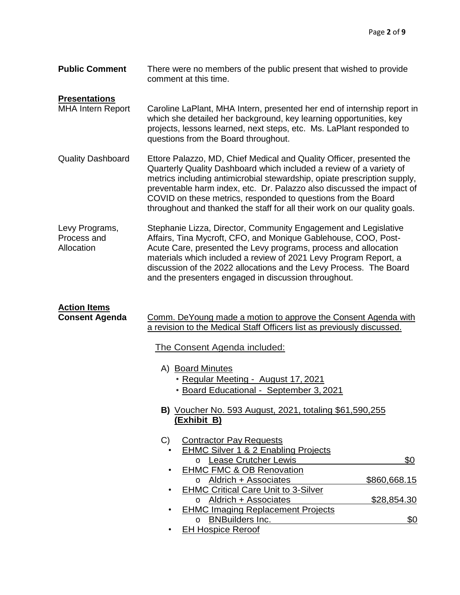| <b>Public Comment</b> | There were no members of the public present that wished to provide |
|-----------------------|--------------------------------------------------------------------|
|                       | comment at this time.                                              |

## **Presentations**

- MHA Intern Report Caroline LaPlant, MHA Intern, presented her end of internship report in which she detailed her background, key learning opportunities, key projects, lessons learned, next steps, etc. Ms. LaPlant responded to questions from the Board throughout.
- Quality Dashboard Ettore Palazzo, MD, Chief Medical and Quality Officer, presented the Quarterly Quality Dashboard which included a review of a variety of metrics including antimicrobial stewardship, opiate prescription supply, preventable harm index, etc. Dr. Palazzo also discussed the impact of COVID on these metrics, responded to questions from the Board throughout and thanked the staff for all their work on our quality goals.
- Levy Programs, Process and Allocation Stephanie Lizza, Director, Community Engagement and Legislative Affairs, Tina Mycroft, CFO, and Monique Gablehouse, COO, Post-Acute Care, presented the Levy programs, process and allocation materials which included a review of 2021 Levy Program Report, a discussion of the 2022 allocations and the Levy Process. The Board and the presenters engaged in discussion throughout.

| <b>Action Items</b>                                                          |                                                                                                                                          |                                                                                |              |  |
|------------------------------------------------------------------------------|------------------------------------------------------------------------------------------------------------------------------------------|--------------------------------------------------------------------------------|--------------|--|
| <b>Consent Agenda</b>                                                        | Comm. DeYoung made a motion to approve the Consent Agenda with<br>a revision to the Medical Staff Officers list as previously discussed. |                                                                                |              |  |
|                                                                              |                                                                                                                                          | The Consent Agenda included:                                                   |              |  |
|                                                                              |                                                                                                                                          | A) Board Minutes<br>• Regular Meeting - August 17, 2021                        |              |  |
|                                                                              |                                                                                                                                          | • Board Educational - September 3, 2021                                        |              |  |
| <b>B)</b> Voucher No. 593 August, 2021, totaling \$61,590,255<br>(Exhibit B) |                                                                                                                                          |                                                                                |              |  |
|                                                                              | C)                                                                                                                                       | <b>Contractor Pay Requests</b>                                                 |              |  |
|                                                                              |                                                                                                                                          | EHMC Silver 1 & 2 Enabling Projects<br><b>Lease Crutcher Lewis</b><br>$\Omega$ | \$0          |  |
|                                                                              |                                                                                                                                          | <b>EHMC FMC &amp; OB Renovation</b>                                            |              |  |
|                                                                              |                                                                                                                                          | o Aldrich + Associates<br><b>EHMC Critical Care Unit to 3-Silver</b>           | \$860,668.15 |  |
|                                                                              |                                                                                                                                          | Aldrich + Associates<br>$\Omega$                                               | \$28,854.30  |  |
|                                                                              |                                                                                                                                          | <b>EHMC Imaging Replacement Projects</b><br><b>BNBuilders Inc.</b><br>$\Omega$ | \$0          |  |
|                                                                              |                                                                                                                                          | <b>EH Hospice Reroof</b>                                                       |              |  |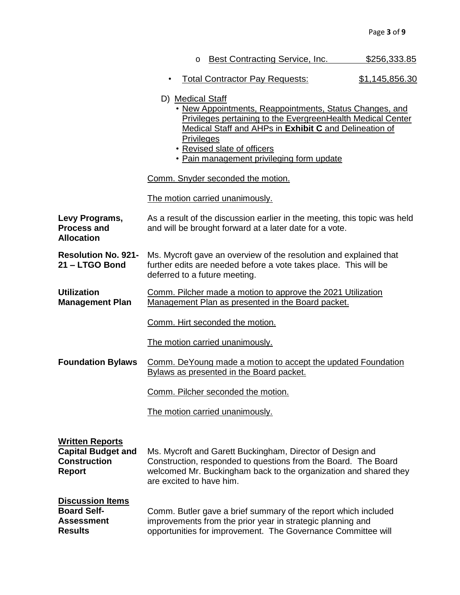| Best Contracting Service, Inc. | \$256,333.85 |
|--------------------------------|--------------|
|--------------------------------|--------------|

- Total Contractor Pay Requests: \$1,145,856.30
- D) Medical Staff
	- New Appointments, Reappointments, Status Changes, and Privileges pertaining to the EvergreenHealth Medical Center Medical Staff and AHPs in **Exhibit C** and Delineation of **Privileges**
	- Revised slate of officers
	- Pain management privileging form update

Comm. Snyder seconded the motion.

The motion carried unanimously.

**Levy Programs, Process and Allocation** As a result of the discussion earlier in the meeting, this topic was held and will be brought forward at a later date for a vote.

**Resolution No. 921- 21 – LTGO Bond** Ms. Mycroft gave an overview of the resolution and explained that further edits are needed before a vote takes place. This will be deferred to a future meeting.

**Utilization Management Plan** Comm. Pilcher made a motion to approve the 2021 Utilization Management Plan as presented in the Board packet.

Comm. Hirt seconded the motion.

The motion carried unanimously.

**Foundation Bylaws** Comm. DeYoung made a motion to accept the updated Foundation Bylaws as presented in the Board packet.

Comm. Pilcher seconded the motion.

The motion carried unanimously.

| <b>Written Reports</b>                                                               | Ms. Mycroft and Garett Buckingham, Director of Design and                                                                                                                                    |
|--------------------------------------------------------------------------------------|----------------------------------------------------------------------------------------------------------------------------------------------------------------------------------------------|
| <b>Capital Budget and</b>                                                            | Construction, responded to questions from the Board. The Board                                                                                                                               |
| <b>Construction</b>                                                                  | welcomed Mr. Buckingham back to the organization and shared they                                                                                                                             |
| <b>Report</b>                                                                        | are excited to have him.                                                                                                                                                                     |
| <b>Discussion Items</b><br><b>Board Self-</b><br><b>Assessment</b><br><b>Results</b> | Comm. Butler gave a brief summary of the report which included<br>improvements from the prior year in strategic planning and<br>opportunities for improvement. The Governance Committee will |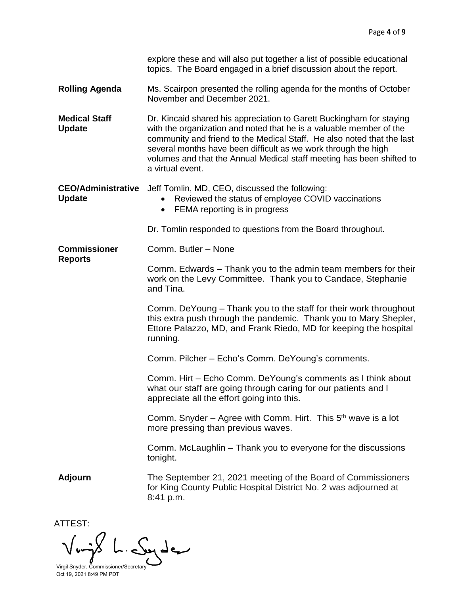|                                            | explore these and will also put together a list of possible educational<br>topics. The Board engaged in a brief discussion about the report.                                                                                                                                                                                                                                         |  |  |
|--------------------------------------------|--------------------------------------------------------------------------------------------------------------------------------------------------------------------------------------------------------------------------------------------------------------------------------------------------------------------------------------------------------------------------------------|--|--|
| <b>Rolling Agenda</b>                      | Ms. Scairpon presented the rolling agenda for the months of October<br>November and December 2021.                                                                                                                                                                                                                                                                                   |  |  |
| <b>Medical Staff</b><br><b>Update</b>      | Dr. Kincaid shared his appreciation to Garett Buckingham for staying<br>with the organization and noted that he is a valuable member of the<br>community and friend to the Medical Staff. He also noted that the last<br>several months have been difficult as we work through the high<br>volumes and that the Annual Medical staff meeting has been shifted to<br>a virtual event. |  |  |
| <b>CEO/Administrative</b><br><b>Update</b> | Jeff Tomlin, MD, CEO, discussed the following:<br>Reviewed the status of employee COVID vaccinations<br>$\bullet$<br>FEMA reporting is in progress<br>$\bullet$                                                                                                                                                                                                                      |  |  |
|                                            | Dr. Tomlin responded to questions from the Board throughout.                                                                                                                                                                                                                                                                                                                         |  |  |
| <b>Commissioner</b><br><b>Reports</b>      | Comm. Butler - None                                                                                                                                                                                                                                                                                                                                                                  |  |  |
|                                            | Comm. Edwards - Thank you to the admin team members for their<br>work on the Levy Committee. Thank you to Candace, Stephanie<br>and Tina.                                                                                                                                                                                                                                            |  |  |
|                                            | Comm. DeYoung – Thank you to the staff for their work throughout<br>this extra push through the pandemic. Thank you to Mary Shepler,<br>Ettore Palazzo, MD, and Frank Riedo, MD for keeping the hospital<br>running.                                                                                                                                                                 |  |  |
|                                            | Comm. Pilcher - Echo's Comm. DeYoung's comments.                                                                                                                                                                                                                                                                                                                                     |  |  |
|                                            | Comm. Hirt - Echo Comm. De Young's comments as I think about<br>what our staff are going through caring for our patients and I<br>appreciate all the effort going into this.                                                                                                                                                                                                         |  |  |
|                                            | Comm. Snyder – Agree with Comm. Hirt. This $5th$ wave is a lot<br>more pressing than previous waves.                                                                                                                                                                                                                                                                                 |  |  |
|                                            | Comm. McLaughlin – Thank you to everyone for the discussions<br>tonight.                                                                                                                                                                                                                                                                                                             |  |  |
| <b>Adjourn</b>                             | The September 21, 2021 meeting of the Board of Commissioners<br>for King County Public Hospital District No. 2 was adjourned at<br>8:41 p.m.                                                                                                                                                                                                                                         |  |  |
|                                            |                                                                                                                                                                                                                                                                                                                                                                                      |  |  |

ATTEST:  $\sqrt{m\omega}$ Syder. Virgil Snyder, Commissioner/Secretary

Oct 19, 2021 8:49 PM PDT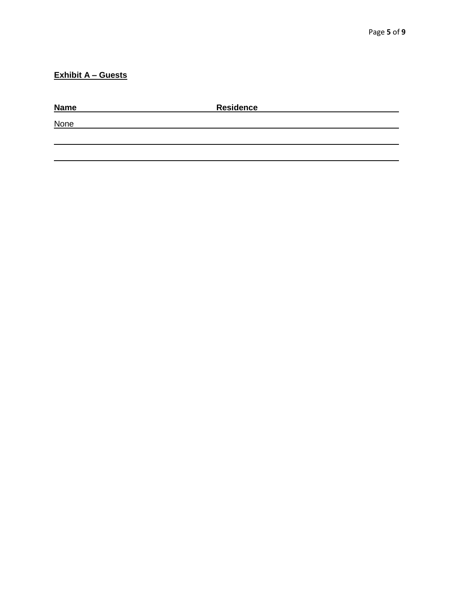## **Exhibit A – Guests**

| <b>Name</b> | <b>Residence</b> |  |  |
|-------------|------------------|--|--|
| <b>None</b> |                  |  |  |
|             |                  |  |  |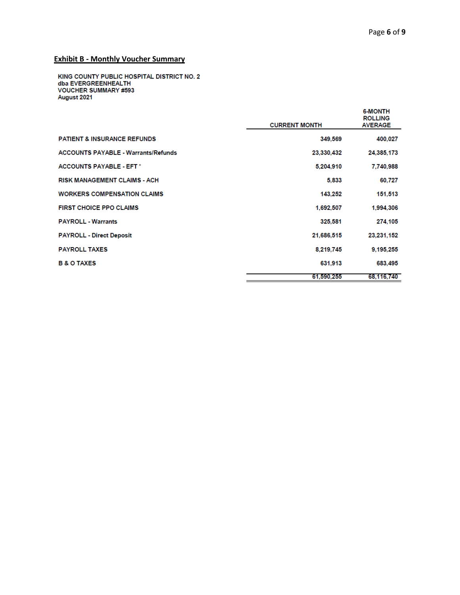## **Exhibit B - Monthly Voucher Summary**

KING COUNTY PUBLIC HOSPITAL DISTRICT NO. 2<br>dba EVERGREENHEALTH<br>VOUCHER SUMMARY #593 August 2021

|                                            | <b>CURRENT MONTH</b> | <b>6-MONTH</b><br><b>ROLLING</b><br><b>AVERAGE</b> |
|--------------------------------------------|----------------------|----------------------------------------------------|
| <b>PATIENT &amp; INSURANCE REFUNDS</b>     | 349,569              | 400,027                                            |
| <b>ACCOUNTS PAYABLE - Warrants/Refunds</b> | 23,330,432           | 24,385,173                                         |
| <b>ACCOUNTS PAYABLE - EFT *</b>            | 5,204,910            | 7,740,988                                          |
| <b>RISK MANAGEMENT CLAIMS - ACH</b>        | 5.833                | 60,727                                             |
| <b>WORKERS COMPENSATION CLAIMS</b>         | 143.252              | 151,513                                            |
| <b>FIRST CHOICE PPO CLAIMS</b>             | 1,692,507            | 1,994,306                                          |
| <b>PAYROLL - Warrants</b>                  | 325,581              | 274,105                                            |
| <b>PAYROLL - Direct Deposit</b>            | 21,686,515           | 23.231.152                                         |
| <b>PAYROLL TAXES</b>                       | 8.219.745            | 9.195.255                                          |
| <b>B &amp; O TAXES</b>                     | 631,913              | 683,495                                            |
|                                            | 61.590.255           | 68.116.740                                         |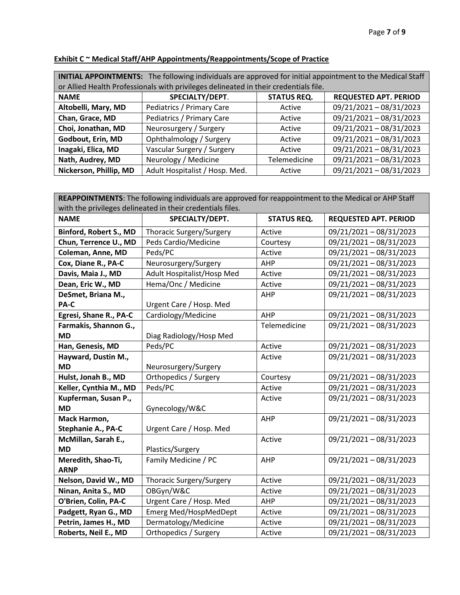| <b>INITIAL APPOINTMENTS:</b> The following individuals are approved for initial appointment to the Medical Staff |                                                                                      |                    |                              |
|------------------------------------------------------------------------------------------------------------------|--------------------------------------------------------------------------------------|--------------------|------------------------------|
|                                                                                                                  | or Allied Health Professionals with privileges delineated in their credentials file. |                    |                              |
| <b>NAME</b>                                                                                                      | SPECIALTY/DEPT.                                                                      | <b>STATUS REQ.</b> | <b>REQUESTED APT. PERIOD</b> |
| Altobelli, Mary, MD                                                                                              | Pediatrics / Primary Care                                                            | Active             | 09/21/2021-08/31/2023        |
| Chan, Grace, MD                                                                                                  | Pediatrics / Primary Care                                                            | Active             | 09/21/2021-08/31/2023        |
| Choi, Jonathan, MD                                                                                               | Neurosurgery / Surgery                                                               | Active             | 09/21/2021-08/31/2023        |
| Godbout, Erin, MD                                                                                                | Ophthalmology / Surgery                                                              | Active             | 09/21/2021-08/31/2023        |
| Inagaki, Elica, MD                                                                                               | Vascular Surgery / Surgery                                                           | Active             | 09/21/2021-08/31/2023        |
| Nath, Audrey, MD                                                                                                 | Neurology / Medicine                                                                 | Telemedicine       | 09/21/2021-08/31/2023        |
| Nickerson, Phillip, MD                                                                                           | Adult Hospitalist / Hosp. Med.                                                       | Active             | 09/21/2021-08/31/2023        |

## **Exhibit C ~ Medical Staff/AHP Appointments/Reappointments/Scope of Practice**

| REAPPOINTMENTS: The following individuals are approved for reappointment to the Medical or AHP Staff |                              |                    |                              |  |
|------------------------------------------------------------------------------------------------------|------------------------------|--------------------|------------------------------|--|
| with the privileges delineated in their credentials files.                                           |                              |                    |                              |  |
| <b>NAME</b>                                                                                          | SPECIALTY/DEPT.              | <b>STATUS REQ.</b> | <b>REQUESTED APT. PERIOD</b> |  |
| Binford, Robert S., MD                                                                               | Thoracic Surgery/Surgery     | Active             | 09/21/2021-08/31/2023        |  |
| Chun, Terrence U., MD                                                                                | Peds Cardio/Medicine         | Courtesy           | 09/21/2021-08/31/2023        |  |
| Coleman, Anne, MD                                                                                    | Peds/PC                      | Active             | 09/21/2021-08/31/2023        |  |
| Cox, Diane R., PA-C                                                                                  | Neurosurgery/Surgery         | AHP                | 09/21/2021-08/31/2023        |  |
| Davis, Maia J., MD                                                                                   | Adult Hospitalist/Hosp Med   | Active             | 09/21/2021-08/31/2023        |  |
| Dean, Eric W., MD                                                                                    | Hema/Onc / Medicine          | Active             | 09/21/2021-08/31/2023        |  |
| DeSmet, Briana M.,                                                                                   |                              | AHP                | 09/21/2021-08/31/2023        |  |
| PA-C                                                                                                 | Urgent Care / Hosp. Med      |                    |                              |  |
| Egresi, Shane R., PA-C                                                                               | Cardiology/Medicine          | AHP                | 09/21/2021-08/31/2023        |  |
| Farmakis, Shannon G.,                                                                                |                              | Telemedicine       | 09/21/2021-08/31/2023        |  |
| <b>MD</b>                                                                                            | Diag Radiology/Hosp Med      |                    |                              |  |
| Han, Genesis, MD                                                                                     | Peds/PC                      | Active             | 09/21/2021-08/31/2023        |  |
| Hayward, Dustin M.,                                                                                  |                              | Active             | 09/21/2021-08/31/2023        |  |
| <b>MD</b>                                                                                            | Neurosurgery/Surgery         |                    |                              |  |
| Hulst, Jonah B., MD                                                                                  | Orthopedics / Surgery        | Courtesy           | 09/21/2021-08/31/2023        |  |
| Keller, Cynthia M., MD                                                                               | Peds/PC                      | Active             | 09/21/2021-08/31/2023        |  |
| Kupferman, Susan P.,                                                                                 |                              | Active             | 09/21/2021-08/31/2023        |  |
| <b>MD</b>                                                                                            | Gynecology/W&C               |                    |                              |  |
| Mack Harmon,                                                                                         |                              | AHP                | 09/21/2021-08/31/2023        |  |
| <b>Stephanie A., PA-C</b>                                                                            | Urgent Care / Hosp. Med      |                    |                              |  |
| McMillan, Sarah E.,                                                                                  |                              | Active             | 09/21/2021-08/31/2023        |  |
| <b>MD</b>                                                                                            | Plastics/Surgery             |                    |                              |  |
| Meredith, Shao-Ti,                                                                                   | Family Medicine / PC         | AHP                | 09/21/2021-08/31/2023        |  |
| <b>ARNP</b>                                                                                          |                              |                    |                              |  |
| Nelson, David W., MD                                                                                 | Thoracic Surgery/Surgery     | Active             | 09/21/2021-08/31/2023        |  |
| Ninan, Anita S., MD                                                                                  | OBGyn/W&C                    | Active             | 09/21/2021-08/31/2023        |  |
| O'Brien, Colin, PA-C                                                                                 | Urgent Care / Hosp. Med      | AHP                | 09/21/2021-08/31/2023        |  |
| Padgett, Ryan G., MD                                                                                 | <b>Emerg Med/HospMedDept</b> | Active             | 09/21/2021-08/31/2023        |  |
| Petrin, James H., MD                                                                                 | Dermatology/Medicine         | Active             | 09/21/2021-08/31/2023        |  |
| Roberts, Neil E., MD                                                                                 | Orthopedics / Surgery        | Active             | 09/21/2021-08/31/2023        |  |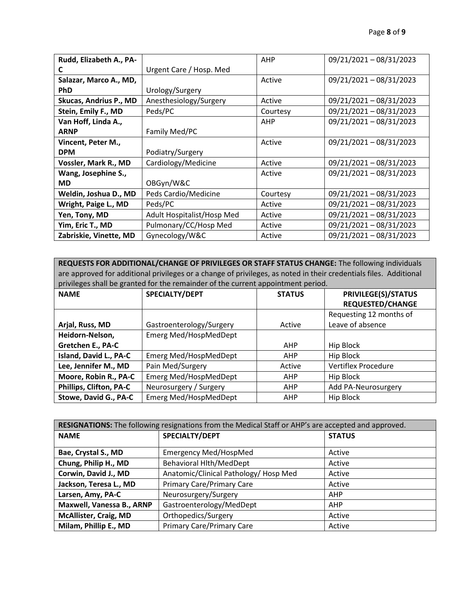| Rudd, Elizabeth A., PA- |                            | AHP        | 09/21/2021-08/31/2023 |
|-------------------------|----------------------------|------------|-----------------------|
| C                       | Urgent Care / Hosp. Med    |            |                       |
| Salazar, Marco A., MD,  |                            | Active     | 09/21/2021-08/31/2023 |
| <b>PhD</b>              | Urology/Surgery            |            |                       |
| Skucas, Andrius P., MD  | Anesthesiology/Surgery     | Active     | 09/21/2021-08/31/2023 |
| Stein, Emily F., MD     | Peds/PC                    | Courtesy   | 09/21/2021-08/31/2023 |
| Van Hoff, Linda A.,     |                            | <b>AHP</b> | 09/21/2021-08/31/2023 |
| <b>ARNP</b>             | Family Med/PC              |            |                       |
| Vincent, Peter M.,      |                            | Active     | 09/21/2021-08/31/2023 |
| <b>DPM</b>              | Podiatry/Surgery           |            |                       |
| Vossler, Mark R., MD    | Cardiology/Medicine        | Active     | 09/21/2021-08/31/2023 |
| Wang, Josephine S.,     |                            | Active     | 09/21/2021-08/31/2023 |
| <b>MD</b>               | OBGyn/W&C                  |            |                       |
| Weldin, Joshua D., MD   | Peds Cardio/Medicine       | Courtesy   | 09/21/2021-08/31/2023 |
| Wright, Paige L., MD    | Peds/PC                    | Active     | 09/21/2021-08/31/2023 |
| Yen, Tony, MD           | Adult Hospitalist/Hosp Med | Active     | 09/21/2021-08/31/2023 |
| Yim, Eric T., MD        | Pulmonary/CC/Hosp Med      | Active     | 09/21/2021-08/31/2023 |
| Zabriskie, Vinette, MD  | Gynecology/W&C             | Active     | 09/21/2021-08/31/2023 |

**REQUESTS FOR ADDITIONAL/CHANGE OF PRIVILEGES OR STAFF STATUS CHANGE:** The following individuals are approved for additional privileges or a change of privileges, as noted in their credentials files. Additional privileges shall be granted for the remainder of the current appointment period.

| <b>NAME</b>                    | SPECIALTY/DEPT               | <b>STATUS</b> | <b>PRIVILEGE(S)/STATUS</b><br><b>REQUESTED/CHANGE</b> |
|--------------------------------|------------------------------|---------------|-------------------------------------------------------|
|                                |                              |               |                                                       |
|                                |                              |               | Requesting 12 months of                               |
| Arjal, Russ, MD                | Gastroenterology/Surgery     | Active        | Leave of absence                                      |
| Heidorn-Nelson,                | Emerg Med/HospMedDept        |               |                                                       |
| Gretchen E., PA-C              |                              | AHP           | Hip Block                                             |
| Island, David L., PA-C         | Emerg Med/HospMedDept        | AHP           | <b>Hip Block</b>                                      |
| Lee, Jennifer M., MD           | Pain Med/Surgery             | Active        | <b>Vertiflex Procedure</b>                            |
| Moore, Robin R., PA-C          | Emerg Med/HospMedDept        | AHP           | Hip Block                                             |
| <b>Phillips, Clifton, PA-C</b> | Neurosurgery / Surgery       | AHP           | Add PA-Neurosurgery                                   |
| Stowe, David G., PA-C          | <b>Emerg Med/HospMedDept</b> | <b>AHP</b>    | <b>Hip Block</b>                                      |

| RESIGNATIONS: The following resignations from the Medical Staff or AHP's are accepted and approved. |                                       |               |  |
|-----------------------------------------------------------------------------------------------------|---------------------------------------|---------------|--|
| <b>NAME</b>                                                                                         | SPECIALTY/DEPT                        | <b>STATUS</b> |  |
|                                                                                                     |                                       |               |  |
| Bae, Crystal S., MD                                                                                 | <b>Emergency Med/HospMed</b>          | Active        |  |
| Chung, Philip H., MD                                                                                | <b>Behavioral Hlth/MedDept</b>        | Active        |  |
| Corwin, David J., MD                                                                                | Anatomic/Clinical Pathology/ Hosp Med | Active        |  |
| Jackson, Teresa L., MD                                                                              | <b>Primary Care/Primary Care</b>      | Active        |  |
| Larsen, Amy, PA-C                                                                                   | Neurosurgery/Surgery                  | AHP           |  |
| Maxwell, Vanessa B., ARNP                                                                           | Gastroenterology/MedDept              | AHP           |  |
| <b>McAllister, Craig, MD</b>                                                                        | Orthopedics/Surgery                   | Active        |  |
| Milam, Phillip E., MD                                                                               | <b>Primary Care/Primary Care</b>      | Active        |  |